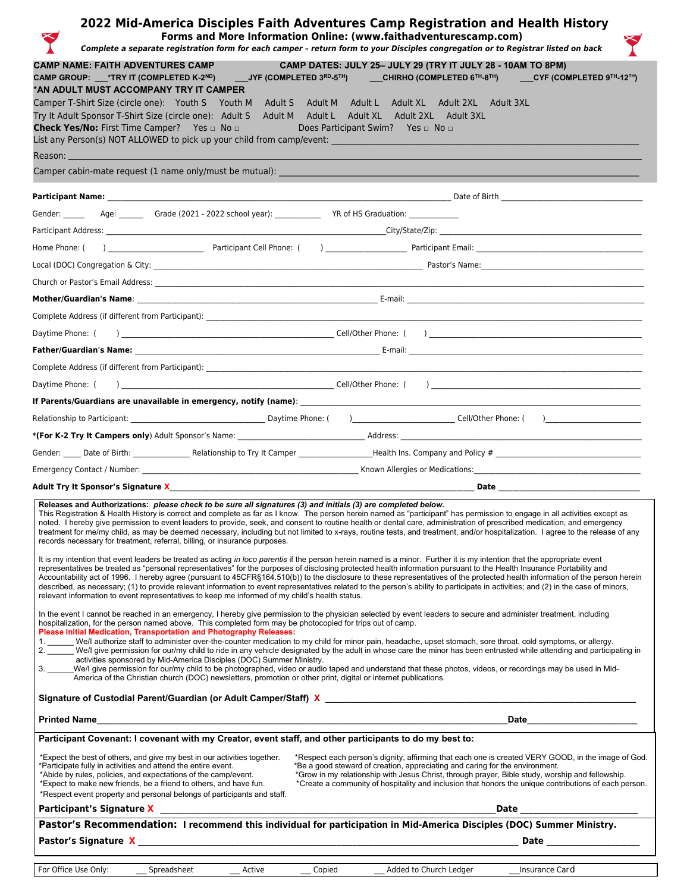|                                                                                                                                                                                                                                                                                                                                                                             | 2022 Mid-America Disciples Faith Adventures Camp Registration and Health History<br>Forms and More Information Online: (www.faithadventurescamp.com)<br>Complete a separate registration form for each camper - return form to your Disciples congregation or to Registrar listed on back                                                                                                                                                                                                                                                                                                                                                                                                                                |
|-----------------------------------------------------------------------------------------------------------------------------------------------------------------------------------------------------------------------------------------------------------------------------------------------------------------------------------------------------------------------------|--------------------------------------------------------------------------------------------------------------------------------------------------------------------------------------------------------------------------------------------------------------------------------------------------------------------------------------------------------------------------------------------------------------------------------------------------------------------------------------------------------------------------------------------------------------------------------------------------------------------------------------------------------------------------------------------------------------------------|
| <b>CAMP NAME: FAITH ADVENTURES CAMP</b><br>*AN ADULT MUST ACCOMPANY TRY IT CAMPER<br>Camper T-Shirt Size (circle one): Youth S Youth M Adult S Adult M Adult L Adult XL Adult 2XL Adult 3XL<br>Try It Adult Sponsor T-Shirt Size (circle one): Adult S Adult M Adult L Adult XL Adult 2XL Adult 3XL<br><b>Check Yes/No:</b> First Time Camper? Yes □ No □                   | CAMP DATES: JULY 25- JULY 29 (TRY IT JULY 28 - 10AM TO 8PM)<br>CAMP GROUP: __*TRY IT (COMPLETED K-2 <sup>ND</sup> )   ___JYF (COMPLETED 3 <sup>RD</sup> -5 <sup>TH</sup> )   ___CHIRHO (COMPLETED 6™-8™)   ___CYF (COMPLETED 9™-12™)<br>Does Participant Swim? Yes   I No   I No                                                                                                                                                                                                                                                                                                                                                                                                                                         |
| List any Person(s) NOT ALLOWED to pick up your child from camp/event: _____________________________<br>Reason:                                                                                                                                                                                                                                                              |                                                                                                                                                                                                                                                                                                                                                                                                                                                                                                                                                                                                                                                                                                                          |
| Camper cabin-mate request (1 name only/must be mutual):                                                                                                                                                                                                                                                                                                                     |                                                                                                                                                                                                                                                                                                                                                                                                                                                                                                                                                                                                                                                                                                                          |
|                                                                                                                                                                                                                                                                                                                                                                             |                                                                                                                                                                                                                                                                                                                                                                                                                                                                                                                                                                                                                                                                                                                          |
| Gender: _____________Age: _________Grade (2021 - 2022 school year): _____________ YR of HS Graduation: ____________                                                                                                                                                                                                                                                         |                                                                                                                                                                                                                                                                                                                                                                                                                                                                                                                                                                                                                                                                                                                          |
|                                                                                                                                                                                                                                                                                                                                                                             | Participant Address:                                 City/State/Zip:                                                                                                                                                                                                                                                                                                                                                                                                                                                                                                                                                                                                                                                     |
|                                                                                                                                                                                                                                                                                                                                                                             |                                                                                                                                                                                                                                                                                                                                                                                                                                                                                                                                                                                                                                                                                                                          |
|                                                                                                                                                                                                                                                                                                                                                                             |                                                                                                                                                                                                                                                                                                                                                                                                                                                                                                                                                                                                                                                                                                                          |
|                                                                                                                                                                                                                                                                                                                                                                             |                                                                                                                                                                                                                                                                                                                                                                                                                                                                                                                                                                                                                                                                                                                          |
|                                                                                                                                                                                                                                                                                                                                                                             |                                                                                                                                                                                                                                                                                                                                                                                                                                                                                                                                                                                                                                                                                                                          |
|                                                                                                                                                                                                                                                                                                                                                                             |                                                                                                                                                                                                                                                                                                                                                                                                                                                                                                                                                                                                                                                                                                                          |
| Daytime Phone: (                                                                                                                                                                                                                                                                                                                                                            |                                                                                                                                                                                                                                                                                                                                                                                                                                                                                                                                                                                                                                                                                                                          |
|                                                                                                                                                                                                                                                                                                                                                                             |                                                                                                                                                                                                                                                                                                                                                                                                                                                                                                                                                                                                                                                                                                                          |
|                                                                                                                                                                                                                                                                                                                                                                             |                                                                                                                                                                                                                                                                                                                                                                                                                                                                                                                                                                                                                                                                                                                          |
| Daytime Phone: (                                                                                                                                                                                                                                                                                                                                                            |                                                                                                                                                                                                                                                                                                                                                                                                                                                                                                                                                                                                                                                                                                                          |
|                                                                                                                                                                                                                                                                                                                                                                             |                                                                                                                                                                                                                                                                                                                                                                                                                                                                                                                                                                                                                                                                                                                          |
|                                                                                                                                                                                                                                                                                                                                                                             |                                                                                                                                                                                                                                                                                                                                                                                                                                                                                                                                                                                                                                                                                                                          |
|                                                                                                                                                                                                                                                                                                                                                                             |                                                                                                                                                                                                                                                                                                                                                                                                                                                                                                                                                                                                                                                                                                                          |
|                                                                                                                                                                                                                                                                                                                                                                             |                                                                                                                                                                                                                                                                                                                                                                                                                                                                                                                                                                                                                                                                                                                          |
|                                                                                                                                                                                                                                                                                                                                                                             |                                                                                                                                                                                                                                                                                                                                                                                                                                                                                                                                                                                                                                                                                                                          |
|                                                                                                                                                                                                                                                                                                                                                                             |                                                                                                                                                                                                                                                                                                                                                                                                                                                                                                                                                                                                                                                                                                                          |
| Releases and Authorizations: please check to be sure all signatures (3) and initials (3) are completed below.<br>records necessary for treatment, referral, billing, or insurance purposes.                                                                                                                                                                                 | This Registration & Health History is correct and complete as far as I know. The person herein named as "participant" has permission to engage in all activities except as<br>noted. I hereby give permission to event leaders to provide, seek, and consent to routine health or dental care, administration of prescribed medication, and emergency<br>treatment for me/my child, as may be deemed necessary, including but not limited to x-rays, routine tests, and treatment, and/or hospitalization. I agree to the release of any                                                                                                                                                                                 |
| relevant information to event representatives to keep me informed of my child's health status.                                                                                                                                                                                                                                                                              | It is my intention that event leaders be treated as acting in loco parentis if the person herein named is a minor. Further it is my intention that the appropriate event<br>representatives be treated as "personal representatives" for the purposes of disclosing protected health information pursuant to the Health Insurance Portability and<br>Accountability act of 1996. I hereby agree (pursuant to 45CFR§164.510(b)) to the disclosure to these representatives of the protected health information of the person herein<br>described, as necessary; (1) to provide relevant information to event representatives related to the person's ability to participate in activities; and (2) in the case of minors, |
| hospitalization, for the person named above. This completed form may be photocopied for trips out of camp.<br>Please initial Medication, Transportation and Photography Releases:<br>activities sponsored by Mid-America Disciples (DOC) Summer Ministry.<br>America of the Christian church (DOC) newsletters, promotion or other print, digital or internet publications. | In the event I cannot be reached in an emergency, I hereby give permission to the physician selected by event leaders to secure and administer treatment, including<br>1. We/l authorize staff to administer over-the-counter medication to my child for minor pain, headache, upset stomach, sore throat, cold symptoms, or allergy.<br>2. We/l give permission for our/my child to ride in any vehicle designated by the adult in whose care the minor has been entrusted while attending and participating in<br>We/l give permission for our/my child to be photographed, video or audio taped and understand that these photos, videos, or recordings may be used in Mid-                                           |
|                                                                                                                                                                                                                                                                                                                                                                             |                                                                                                                                                                                                                                                                                                                                                                                                                                                                                                                                                                                                                                                                                                                          |
|                                                                                                                                                                                                                                                                                                                                                                             | Date and the state of the state of the state of the state of the state of the state of the state of the state                                                                                                                                                                                                                                                                                                                                                                                                                                                                                                                                                                                                            |
| Participant Covenant: I covenant with my Creator, event staff, and other participants to do my best to:                                                                                                                                                                                                                                                                     |                                                                                                                                                                                                                                                                                                                                                                                                                                                                                                                                                                                                                                                                                                                          |
| *Expect the best of others, and give my best in our activities together.<br>*Participate fully in activities and attend the entire event.<br>*Abide by rules, policies, and expectations of the camp/event.<br>*Expect to make new friends, be a friend to others, and have fun.<br>*Respect event property and personal belongs of participants and staff.                 | *Respect each person's dignity, affirming that each one is created VERY GOOD, in the image of God.<br>*Be a good steward of creation, appreciating and caring for the environment.<br>*Grow in my relationship with Jesus Christ, through prayer, Bible study, worship and fellowship.<br>*Create a community of hospitality and inclusion that honors the unique contributions of each person.                                                                                                                                                                                                                                                                                                                          |
|                                                                                                                                                                                                                                                                                                                                                                             | Date                                                                                                                                                                                                                                                                                                                                                                                                                                                                                                                                                                                                                                                                                                                     |
|                                                                                                                                                                                                                                                                                                                                                                             | Pastor's Recommendation: I recommend this individual for participation in Mid-America Disciples (DOC) Summer Ministry.                                                                                                                                                                                                                                                                                                                                                                                                                                                                                                                                                                                                   |
| For Office Use Only:<br>Spreadsheet<br>Active                                                                                                                                                                                                                                                                                                                               | Copied<br>Added to Church Ledger __________Insurance Card                                                                                                                                                                                                                                                                                                                                                                                                                                                                                                                                                                                                                                                                |